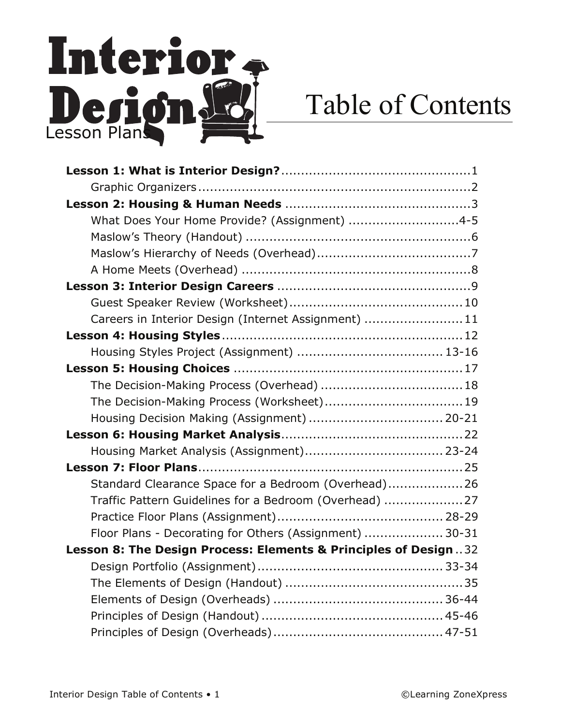## Interior. Derionds

## Table of Contents

| What Does Your Home Provide? (Assignment) 4-5                   |
|-----------------------------------------------------------------|
|                                                                 |
|                                                                 |
|                                                                 |
|                                                                 |
|                                                                 |
| Careers in Interior Design (Internet Assignment)  11            |
|                                                                 |
|                                                                 |
|                                                                 |
|                                                                 |
|                                                                 |
| Housing Decision Making (Assignment)  20-21                     |
|                                                                 |
|                                                                 |
|                                                                 |
| Standard Clearance Space for a Bedroom (Overhead)26             |
| Traffic Pattern Guidelines for a Bedroom (Overhead)  27         |
|                                                                 |
| Floor Plans - Decorating for Others (Assignment)  30-31         |
| Lesson 8: The Design Process: Elements & Principles of Design32 |
|                                                                 |
|                                                                 |
|                                                                 |
|                                                                 |
|                                                                 |